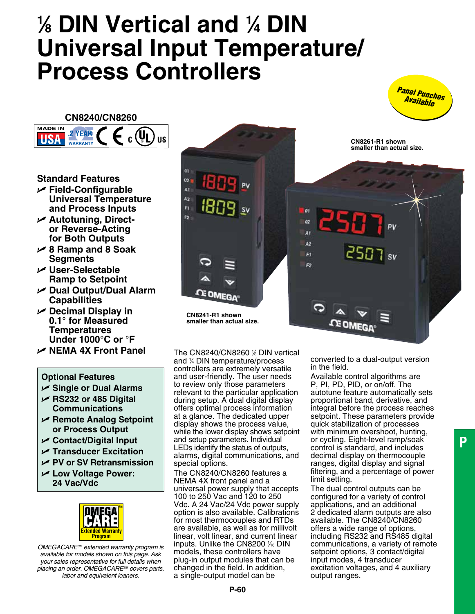# **1 ⁄8 DIN Vertical and 1 ⁄4 DIN Universal Input Temperature/ Process Controllers**



**CN8240/CN8260**



**Standard Features**

- U **Field-Configurable Universal Temperature and Process Inputs**
- U **Autotuning, Director Reverse-Acting for Both Outputs**
- U **8 Ramp and 8 Soak Segments**
- U **User-Selectable Ramp to Setpoint**
- U **Dual Output/Dual Alarm Capabilities**
- U **Decimal Display in 0.1° for Measured Temperatures Under 1000°C or °F**
- U **NEMA 4X Front Panel**

## **Optional Features**

- U **Single or Dual Alarms**
- U **RS232 or 485 Digital Communications**
- U **Remote Analog Setpoint or Process Output**
- U **Contact/Digital Input**
- U **Transducer Excitation**
- U **PV or SV Retransmission**
- U **Low Voltage Power: 24 Vac/Vdc**



*OMEGACARESM extended warranty program is available for models shown on this page. Ask your sales representative for full details when placing an order. OMEGACareSM covers parts, labor and equivalent loaners.*



The CN8240/CN8260 % DIN vertical and 1 ⁄4 DIN temperature/process controllers are extremely versatile and user-friendly. The user needs to review only those parameters relevant to the particular application during setup. A dual digital display offers optimal process information at a glance. The dedicated upper display shows the process value, while the lower display shows setpoint and setup parameters. Individual LEDs identify the status of outputs, alarms, digital communications, and special options.

The CN8240/CN8260 features a NEMA 4X front panel and a universal power supply that accepts 100 to 250 Vac and 120 to 250 Vdc. A 24 Vac/24 Vdc power supply option is also available. Calibrations for most thermocouples and RTDs are available, as well as for millivolt linear, volt linear, and current linear inputs. Unlike the CN8200 1/6 DIN models, these controllers have plug-in output modules that can be changed in the field. In addition, a single-output model can be

converted to a dual-output version in the field.

Available control algorithms are P, PI, PD, PID, or on/off. The autotune feature automatically sets proportional band, derivative, and integral before the process reaches setpoint. These parameters provide quick stabilization of processes with minimum overshoot, hunting, or cycling. Eight-level ramp/soak control is standard, and includes decimal display on thermocouple ranges, digital display and signal filtering, and a percentage of power limit setting.

The dual control outputs can be configured for a variety of control applications, and an additional 2 dedicated alarm outputs are also available. The CN8240/CN8260 offers a wide range of options, including RS232 and RS485 digital communications, a variety of remote setpoint options, 3 contact/digital input modes, 4 transducer excitation voltages, and 4 auxiliary output ranges.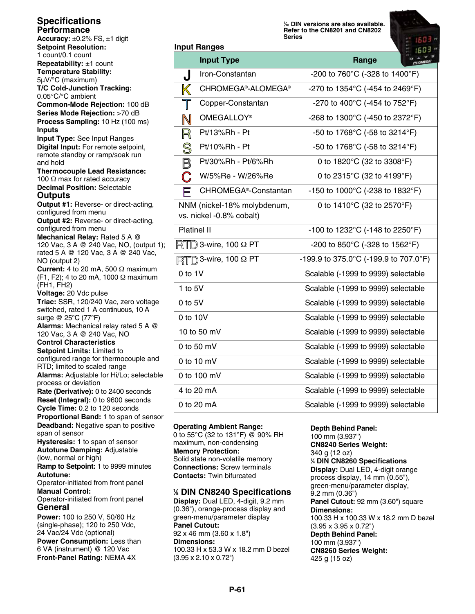# **Specifications Performance**

**Accuracy:** ±0.2% FS, ±1 digit **Setpoint Resolution:** 1 count/0.1 count **Repeatability:** ±1 count **Temperature Stability:** 5µV/°C (maximum) **T/C Cold-Junction Tracking:** 0.05°C/°C ambient **Common-Mode Rejection:** 100 dB **Series Mode Rejection:** >70 dB **Process Sampling:** 10 Hz (100 ms) **Inputs Input Type:** See Input Ranges **Digital Input:** For remote setpoint, remote standby or ramp/soak run and hold **Thermocouple Lead Resistance:** 100  $\Omega$  max for rated accuracy **Decimal Position:** Selectable **Outputs Output #1:** Reverse- or direct-acting, configured from menu **Output #2:** Reverse- or direct-acting, configured from menu **Mechanical Relay:** Rated 5 A @ 120 Vac, 3 A @ 240 Vac, NO, (output 1); rated 5 A @ 120 Vac, 3 A @ 240 Vac, NO (output 2) **Current:** 4 to 20 mA, 500 Ω maximum (F1, F2); 4 to 20 mA, 1000 Ω maximum (FH1, FH2) **Voltage:** 20 Vdc pulse **Triac:** SSR, 120/240 Vac, zero voltage switched, rated 1 A continuous, 10 A surge @ 25°C (77°F) **Alarms:** Mechanical relay rated 5 A @ 120 Vac, 3 A @ 240 Vac, NO **Control Characteristics Setpoint Limits:** Limited to configured range for thermocouple and RTD; limited to scaled range **Alarms:** Adjustable for Hi/Lo; selectable process or deviation **Rate (Derivative):** 0 to 2400 seconds **Reset (Integral):** 0 to 9600 seconds **Cycle Time:** 0.2 to 120 seconds **Proportional Band:** 1 to span of sensor **Deadband:** Negative span to positive span of sensor **Hysteresis:** 1 to span of sensor **Autotune Damping:** Adjustable

(low, normal or high) **Ramp to Setpoint:** 1 to 9999 minutes **Autotune:**

Operator-initiated from front panel **Manual Control:**

Operator-initiated from front panel **General**

**Power:** 100 to 250 V, 50/60 Hz (single-phase); 120 to 250 Vdc, 24 Vac/24 Vdc (optional) **Power Consumption:** Less than 6 VA (instrument) @ 120 Vac **Front-Panel Rating:** NEMA 4X

**1 ⁄16 DIN versions are also available. Refer to the CN8201 and CN8202 Series**



| Range                                                |
|------------------------------------------------------|
| -200 to 760°C (-328 to 1400°F)                       |
| -270 to 1354°C (-454 to 2469°F)                      |
| -270 to 400°C (-454 to 752°F)                        |
| -268 to 1300°C (-450 to 2372°F)                      |
| -50 to 1768°C (-58 to 3214°F)                        |
| -50 to 1768°C (-58 to 3214°F)                        |
| 0 to 1820°C (32 to 3308°F)                           |
| 0 to 2315°C (32 to 4199°F)                           |
| -150 to 1000°C (-238 to 1832°F)                      |
| 0 to 1410°C (32 to 2570°F)                           |
| -100 to 1232°C (-148 to 2250°F)                      |
| -200 to 850 $^{\circ}$ C (-328 to 1562 $^{\circ}$ F) |
| -199.9 to 375.0°C (-199.9 to 707.0°F)                |
| Scalable (-1999 to 9999) selectable                  |
| Scalable (-1999 to 9999) selectable                  |
| Scalable (-1999 to 9999) selectable                  |
| Scalable (-1999 to 9999) selectable                  |
| Scalable (-1999 to 9999) selectable                  |
| Scalable (-1999 to 9999) selectable                  |
| Scalable (-1999 to 9999) selectable                  |
| Scalable (-1999 to 9999) selectable                  |
| Scalable (-1999 to 9999) selectable                  |
| Scalable (-1999 to 9999) selectable                  |
|                                                      |

#### **Operating Ambient Range:**

**Input Ranges**

0 to 55°C (32 to 131°F) @ 90% RH maximum, non-condensing **Memory Protection:** Solid state non-volatile memory **Connections:** Screw terminals **Contacts:** Twin bifurcated

#### **1 ⁄8 DIN CN8240 Specifications**

**Display:** Dual LED, 4-digit, 9.2 mm (0.36"), orange-process display and green-menu/parameter display **Panel Cutout:** 92 x 46 mm (3.60 x 1.8") **Dimensions:** 100.33 H x 53.3 W x 18.2 mm D bezel (3.95 x 2.10 x 0.72")

#### **Depth Behind Panel:**

100 mm (3.937") **CN8240 Series Weight:** 340 g (12 oz) **1 ⁄4 DIN CN8260 Specifications Display:** Dual LED, 4-digit orange process display, 14 mm (0.55"), green-menu/parameter display, 9.2 mm (0.36") **Panel Cutout:** 92 mm (3.60") square **Dimensions:** 100.33 H x 100.33 W x 18.2 mm D bezel (3.95 x 3.95 x 0.72") **Depth Behind Panel:** 100 mm (3.937") **CN8260 Series Weight:** 425 g (15 oz)